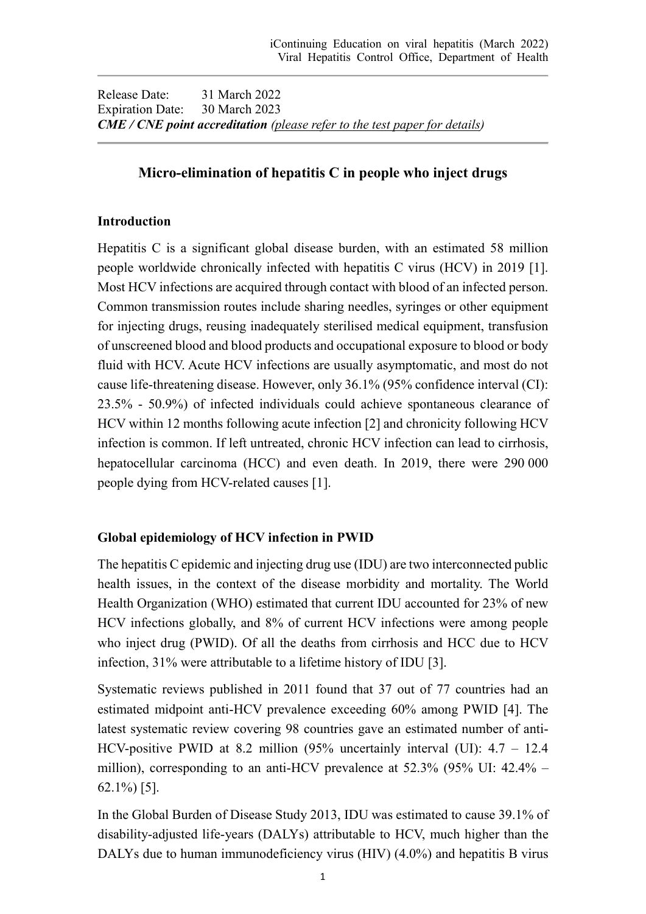Release Date: 31 March 2022 Expiration Date: 30 March 2023 *CME / CNE point accreditation (please refer to the test paper for details)*

# **Micro-elimination of hepatitis C in people who inject drugs**

### **Introduction**

Hepatitis C is a significant global disease burden, with an estimated 58 million people worldwide chronically infected with hepatitis C virus (HCV) in 2019 [1]. Most HCV infections are acquired through contact with blood of an infected person. Common transmission routes include sharing needles, syringes or other equipment for injecting drugs, reusing inadequately sterilised medical equipment, transfusion of unscreened blood and blood products and occupational exposure to blood or body fluid with HCV. Acute HCV infections are usually asymptomatic, and most do not cause life-threatening disease. However, only 36.1% (95% confidence interval (CI): 23.5% - 50.9%) of infected individuals could achieve spontaneous clearance of HCV within 12 months following acute infection [2] and chronicity following HCV infection is common. If left untreated, chronic HCV infection can lead to cirrhosis, hepatocellular carcinoma (HCC) and even death. In 2019, there were 290 000 people dying from HCV-related causes [1].

## **Global epidemiology of HCV infection in PWID**

The hepatitis C epidemic and injecting drug use (IDU) are two interconnected public health issues, in the context of the disease morbidity and mortality. The World Health Organization (WHO) estimated that current IDU accounted for 23% of new HCV infections globally, and 8% of current HCV infections were among people who inject drug (PWID). Of all the deaths from cirrhosis and HCC due to HCV infection, 31% were attributable to a lifetime history of IDU [3].

Systematic reviews published in 2011 found that 37 out of 77 countries had an estimated midpoint anti-HCV prevalence exceeding 60% among PWID [4]. The latest systematic review covering 98 countries gave an estimated number of anti-HCV-positive PWID at 8.2 million (95% uncertainly interval (UI): 4.7 – 12.4 million), corresponding to an anti-HCV prevalence at 52.3% (95% UI: 42.4% – 62.1%) [5].

In the Global Burden of Disease Study 2013, IDU was estimated to cause 39.1% of disability-adjusted life-years (DALYs) attributable to HCV, much higher than the DALYs due to human immunodeficiency virus (HIV) (4.0%) and hepatitis B virus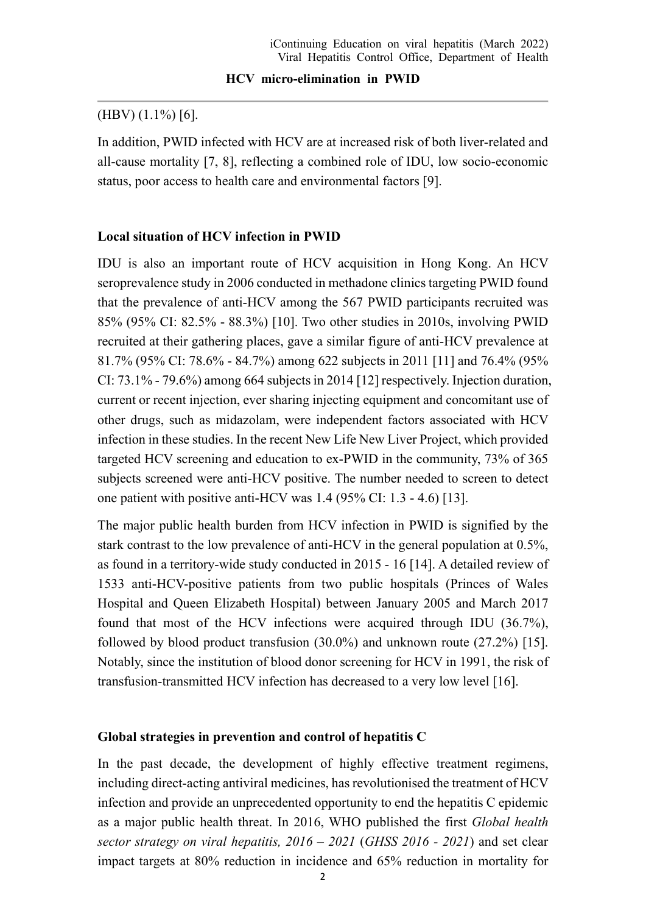### (HBV) (1.1%) [6].

In addition, PWID infected with HCV are at increased risk of both liver-related and all-cause mortality [7, 8], reflecting a combined role of IDU, low socio-economic status, poor access to health care and environmental factors [9].

#### **Local situation of HCV infection in PWID**

IDU is also an important route of HCV acquisition in Hong Kong. An HCV seroprevalence study in 2006 conducted in methadone clinics targeting PWID found that the prevalence of anti-HCV among the 567 PWID participants recruited was 85% (95% CI: 82.5% - 88.3%) [10]. Two other studies in 2010s, involving PWID recruited at their gathering places, gave a similar figure of anti-HCV prevalence at 81.7% (95% CI: 78.6% - 84.7%) among 622 subjects in 2011 [11] and 76.4% (95% CI: 73.1% - 79.6%) among 664 subjects in 2014 [12] respectively. Injection duration, current or recent injection, ever sharing injecting equipment and concomitant use of other drugs, such as midazolam, were independent factors associated with HCV infection in these studies. In the recent New Life New Liver Project, which provided targeted HCV screening and education to ex-PWID in the community, 73% of 365 subjects screened were anti-HCV positive. The number needed to screen to detect one patient with positive anti-HCV was 1.4 (95% CI: 1.3 - 4.6) [13].

The major public health burden from HCV infection in PWID is signified by the stark contrast to the low prevalence of anti-HCV in the general population at 0.5%, as found in a territory-wide study conducted in 2015 - 16 [14]. A detailed review of 1533 anti-HCV-positive patients from two public hospitals (Princes of Wales Hospital and Queen Elizabeth Hospital) between January 2005 and March 2017 found that most of the HCV infections were acquired through IDU (36.7%), followed by blood product transfusion (30.0%) and unknown route (27.2%) [15]. Notably, since the institution of blood donor screening for HCV in 1991, the risk of transfusion-transmitted HCV infection has decreased to a very low level [16].

#### **Global strategies in prevention and control of hepatitis C**

In the past decade, the development of highly effective treatment regimens, including direct-acting antiviral medicines, has revolutionised the treatment of HCV infection and provide an unprecedented opportunity to end the hepatitis C epidemic as a major public health threat. In 2016, WHO published the first *Global health sector strategy on viral hepatitis, 2016 – 2021* (*GHSS 2016 - 2021*) and set clear impact targets at 80% reduction in incidence and 65% reduction in mortality for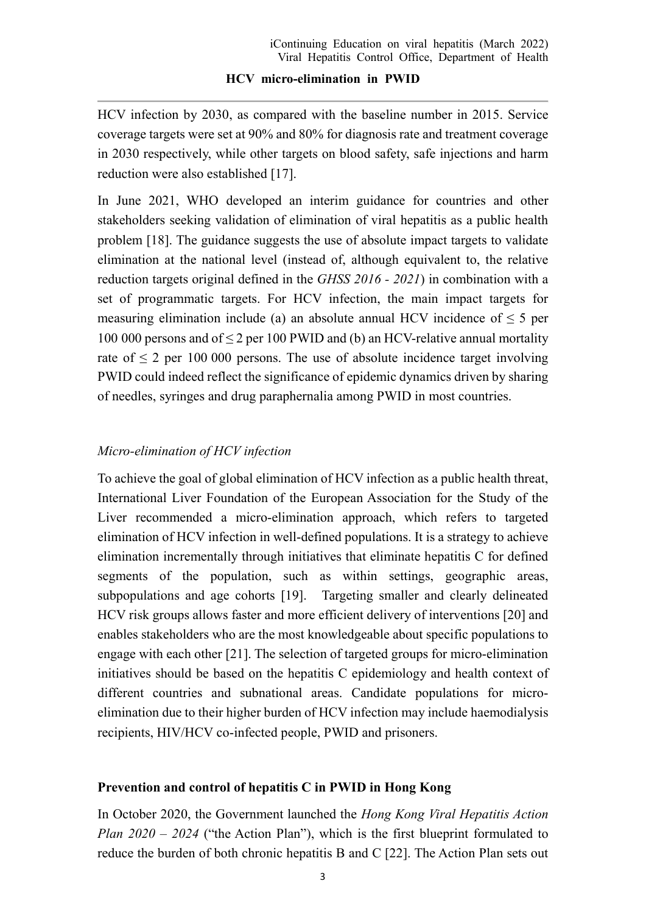HCV infection by 2030, as compared with the baseline number in 2015. Service coverage targets were set at 90% and 80% for diagnosis rate and treatment coverage in 2030 respectively, while other targets on blood safety, safe injections and harm reduction were also established [17].

In June 2021, WHO developed an interim guidance for countries and other stakeholders seeking validation of elimination of viral hepatitis as a public health problem [18]. The guidance suggests the use of absolute impact targets to validate elimination at the national level (instead of, although equivalent to, the relative reduction targets original defined in the *GHSS 2016 - 2021*) in combination with a set of programmatic targets. For HCV infection, the main impact targets for measuring elimination include (a) an absolute annual HCV incidence of  $\leq 5$  per 100 000 persons and of ≤ 2 per 100 PWID and (b) an HCV-relative annual mortality rate of  $\leq$  2 per 100 000 persons. The use of absolute incidence target involving PWID could indeed reflect the significance of epidemic dynamics driven by sharing of needles, syringes and drug paraphernalia among PWID in most countries.

# *Micro-elimination of HCV infection*

To achieve the goal of global elimination of HCV infection as a public health threat, International Liver Foundation of the European Association for the Study of the Liver recommended a micro-elimination approach, which refers to targeted elimination of HCV infection in well-defined populations. It is a strategy to achieve elimination incrementally through initiatives that eliminate hepatitis C for defined segments of the population, such as within settings, geographic areas, subpopulations and age cohorts [19]. Targeting smaller and clearly delineated HCV risk groups allows faster and more efficient delivery of interventions [20] and enables stakeholders who are the most knowledgeable about specific populations to engage with each other [21]. The selection of targeted groups for micro-elimination initiatives should be based on the hepatitis C epidemiology and health context of different countries and subnational areas. Candidate populations for microelimination due to their higher burden of HCV infection may include haemodialysis recipients, HIV/HCV co-infected people, PWID and prisoners.

## **Prevention and control of hepatitis C in PWID in Hong Kong**

In October 2020, the Government launched the *Hong Kong Viral Hepatitis Action Plan 2020 – 2024* ("the Action Plan"), which is the first blueprint formulated to reduce the burden of both chronic hepatitis B and C [22]. The Action Plan sets out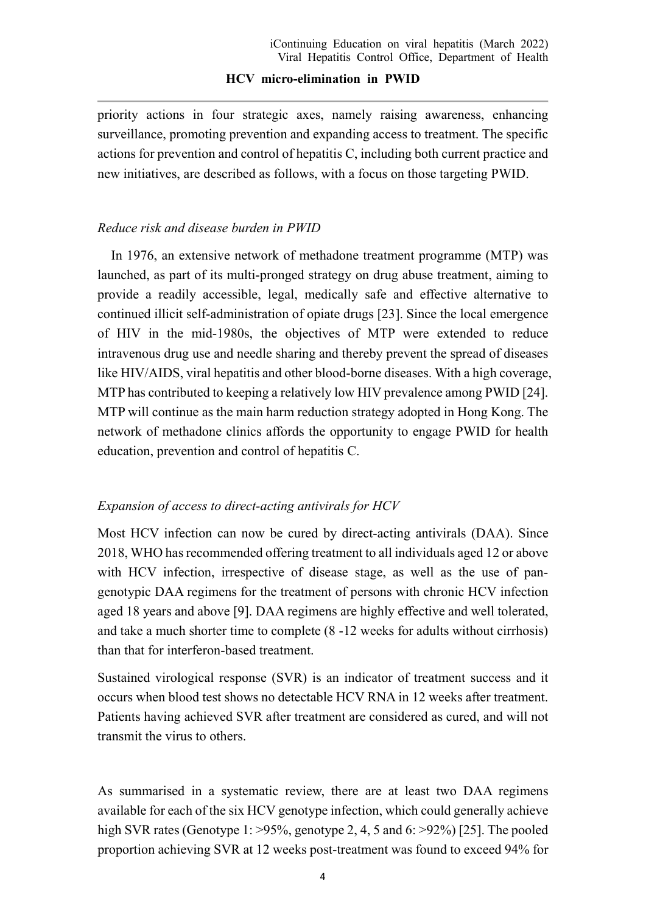priority actions in four strategic axes, namely raising awareness, enhancing surveillance, promoting prevention and expanding access to treatment. The specific actions for prevention and control of hepatitis C, including both current practice and new initiatives, are described as follows, with a focus on those targeting PWID.

### *Reduce risk and disease burden in PWID*

In 1976, an extensive network of methadone treatment programme (MTP) was launched, as part of its multi-pronged strategy on drug abuse treatment, aiming to provide a readily accessible, legal, medically safe and effective alternative to continued illicit self-administration of opiate drugs [23]. Since the local emergence of HIV in the mid-1980s, the objectives of MTP were extended to reduce intravenous drug use and needle sharing and thereby prevent the spread of diseases like HIV/AIDS, viral hepatitis and other blood-borne diseases. With a high coverage, MTP has contributed to keeping a relatively low HIV prevalence among PWID [24]. MTP will continue as the main harm reduction strategy adopted in Hong Kong. The network of methadone clinics affords the opportunity to engage PWID for health education, prevention and control of hepatitis C.

### *Expansion of access to direct-acting antivirals for HCV*

Most HCV infection can now be cured by direct-acting antivirals (DAA). Since 2018, WHO has recommended offering treatment to all individuals aged 12 or above with HCV infection, irrespective of disease stage, as well as the use of pangenotypic DAA regimens for the treatment of persons with chronic HCV infection aged 18 years and above [9]. DAA regimens are highly effective and well tolerated, and take a much shorter time to complete (8 -12 weeks for adults without cirrhosis) than that for interferon-based treatment.

Sustained virological response (SVR) is an indicator of treatment success and it occurs when blood test shows no detectable HCV RNA in 12 weeks after treatment. Patients having achieved SVR after treatment are considered as cured, and will not transmit the virus to others.

As summarised in a systematic review, there are at least two DAA regimens available for each of the six HCV genotype infection, which could generally achieve high SVR rates (Genotype 1: >95%, genotype 2, 4, 5 and 6: >92%) [25]. The pooled proportion achieving SVR at 12 weeks post-treatment was found to exceed 94% for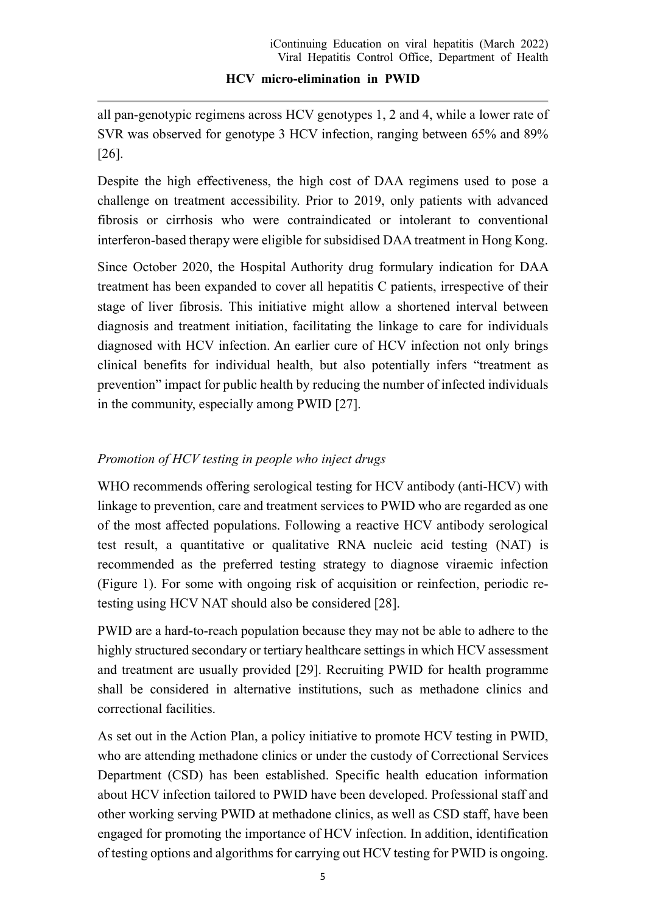all pan-genotypic regimens across HCV genotypes 1, 2 and 4, while a lower rate of SVR was observed for genotype 3 HCV infection, ranging between 65% and 89% [26].

Despite the high effectiveness, the high cost of DAA regimens used to pose a challenge on treatment accessibility. Prior to 2019, only patients with advanced fibrosis or cirrhosis who were contraindicated or intolerant to conventional interferon-based therapy were eligible for subsidised DAA treatment in Hong Kong.

Since October 2020, the Hospital Authority drug formulary indication for DAA treatment has been expanded to cover all hepatitis C patients, irrespective of their stage of liver fibrosis. This initiative might allow a shortened interval between diagnosis and treatment initiation, facilitating the linkage to care for individuals diagnosed with HCV infection. An earlier cure of HCV infection not only brings clinical benefits for individual health, but also potentially infers "treatment as prevention" impact for public health by reducing the number of infected individuals in the community, especially among PWID [27].

# *Promotion of HCV testing in people who inject drugs*

WHO recommends offering serological testing for HCV antibody (anti-HCV) with linkage to prevention, care and treatment services to PWID who are regarded as one of the most affected populations. Following a reactive HCV antibody serological test result, a quantitative or qualitative RNA nucleic acid testing (NAT) is recommended as the preferred testing strategy to diagnose viraemic infection (Figure 1). For some with ongoing risk of acquisition or reinfection, periodic retesting using HCV NAT should also be considered [28].

PWID are a hard-to-reach population because they may not be able to adhere to the highly structured secondary or tertiary healthcare settings in which HCV assessment and treatment are usually provided [29]. Recruiting PWID for health programme shall be considered in alternative institutions, such as methadone clinics and correctional facilities.

As set out in the Action Plan, a policy initiative to promote HCV testing in PWID, who are attending methadone clinics or under the custody of Correctional Services Department (CSD) has been established. Specific health education information about HCV infection tailored to PWID have been developed. Professional staff and other working serving PWID at methadone clinics, as well as CSD staff, have been engaged for promoting the importance of HCV infection. In addition, identification of testing options and algorithms for carrying out HCV testing for PWID is ongoing.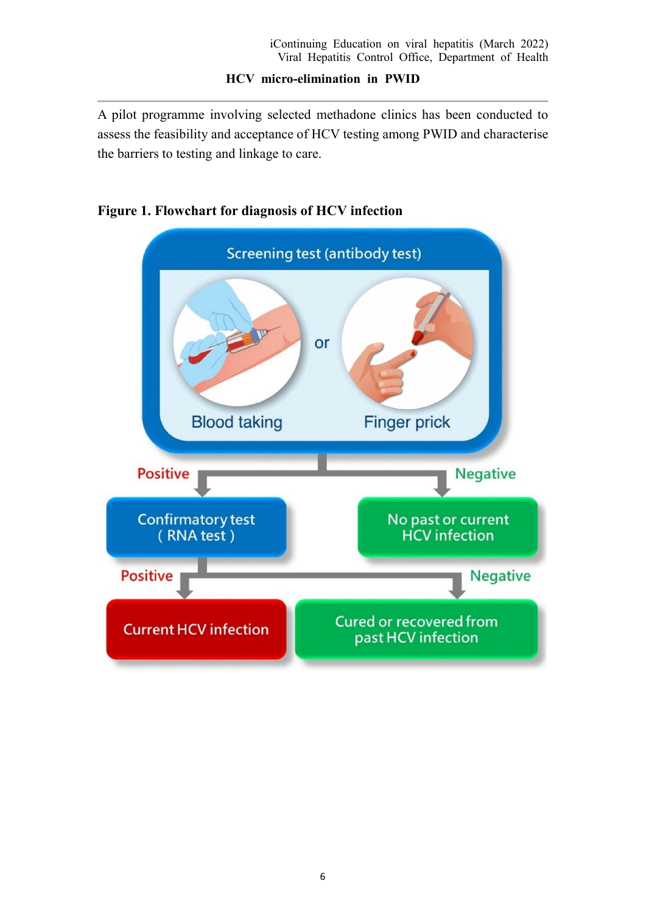A pilot programme involving selected methadone clinics has been conducted to assess the feasibility and acceptance of HCV testing among PWID and characterise the barriers to testing and linkage to care.



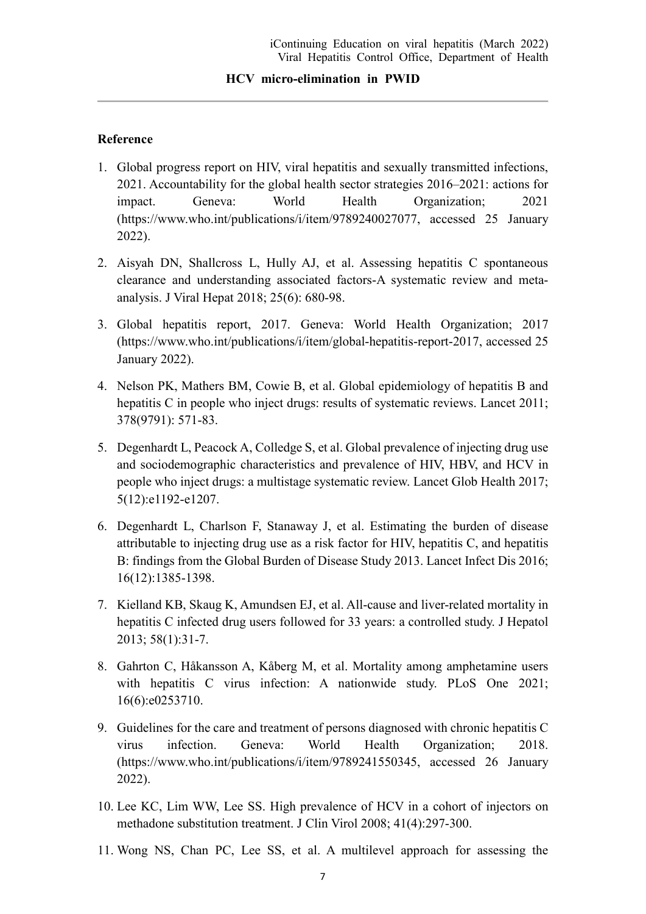### **Reference**

- 1. Global progress report on HIV, viral hepatitis and sexually transmitted infections, 2021. Accountability for the global health sector strategies 2016–2021: actions for impact. Geneva: World Health Organization; 2021 (https://www.who.int/publications/i/item/9789240027077, accessed 25 January 2022).
- 2. Aisyah DN, Shallcross L, Hully AJ, et al. Assessing hepatitis C spontaneous clearance and understanding associated factors-A systematic review and metaanalysis. J Viral Hepat 2018; 25(6): 680-98.
- 3. Global hepatitis report, 2017. Geneva: World Health Organization; 2017 (https://www.who.int/publications/i/item/global-hepatitis-report-2017, accessed 25 January 2022).
- 4. Nelson PK, Mathers BM, Cowie B, et al. Global epidemiology of hepatitis B and hepatitis C in people who inject drugs: results of systematic reviews. Lancet 2011; 378(9791): 571-83.
- 5. Degenhardt L, Peacock A, Colledge S, et al. Global prevalence of injecting drug use and sociodemographic characteristics and prevalence of HIV, HBV, and HCV in people who inject drugs: a multistage systematic review. Lancet Glob Health 2017; 5(12):e1192-e1207.
- 6. Degenhardt L, Charlson F, Stanaway J, et al. Estimating the burden of disease attributable to injecting drug use as a risk factor for HIV, hepatitis C, and hepatitis B: findings from the Global Burden of Disease Study 2013. Lancet Infect Dis 2016; 16(12):1385-1398.
- 7. Kielland KB, Skaug K, Amundsen EJ, et al. All-cause and liver-related mortality in hepatitis C infected drug users followed for 33 years: a controlled study. J Hepatol 2013; 58(1):31-7.
- 8. Gahrton C, Håkansson A, Kåberg M, et al. Mortality among amphetamine users with hepatitis C virus infection: A nationwide study. PLoS One 2021; 16(6):e0253710.
- 9. Guidelines for the care and treatment of persons diagnosed with chronic hepatitis C virus infection. Geneva: World Health Organization; 2018. (https://www.who.int/publications/i/item/9789241550345, accessed 26 January 2022).
- 10. Lee KC, Lim WW, Lee SS. High prevalence of HCV in a cohort of injectors on methadone substitution treatment. J Clin Virol 2008; 41(4):297-300.
- 11. Wong NS, Chan PC, Lee SS, et al. A multilevel approach for assessing the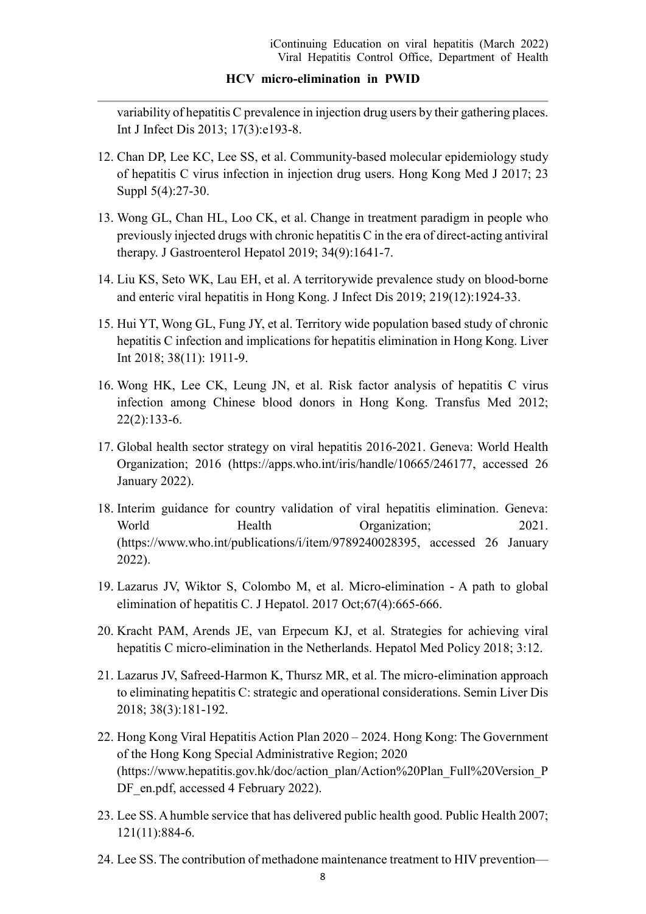variability of hepatitis C prevalence in injection drug users by their gathering places. Int J Infect Dis 2013; 17(3):e193-8.

- 12. Chan DP, Lee KC, Lee SS, et al. Community-based molecular epidemiology study of hepatitis C virus infection in injection drug users. Hong Kong Med J 2017; 23 Suppl 5(4):27-30.
- 13. Wong GL, Chan HL, Loo CK, et al. Change in treatment paradigm in people who previously injected drugs with chronic hepatitis C in the era of direct-acting antiviral therapy. J Gastroenterol Hepatol 2019; 34(9):1641-7.
- 14. Liu KS, Seto WK, Lau EH, et al. A territorywide prevalence study on blood-borne and enteric viral hepatitis in Hong Kong. J Infect Dis 2019; 219(12):1924-33.
- 15. Hui YT, Wong GL, Fung JY, et al. Territory wide population based study of chronic hepatitis C infection and implications for hepatitis elimination in Hong Kong. Liver Int 2018; 38(11): 1911-9.
- 16. Wong HK, Lee CK, Leung JN, et al. Risk factor analysis of hepatitis C virus infection among Chinese blood donors in Hong Kong. Transfus Med 2012; 22(2):133-6.
- 17. Global health sector strategy on viral hepatitis 2016-2021. Geneva: World Health Organization; 2016 (https://apps.who.int/iris/handle/10665/246177, accessed 26 January 2022).
- 18. Interim guidance for country validation of viral hepatitis elimination. Geneva: World Health Organization; 2021. (https://www.who.int/publications/i/item/9789240028395, accessed 26 January 2022).
- 19. Lazarus JV, Wiktor S, Colombo M, et al. Micro-elimination A path to global elimination of hepatitis C. J Hepatol. 2017 Oct;67(4):665-666.
- 20. Kracht PAM, Arends JE, van Erpecum KJ, et al. Strategies for achieving viral hepatitis C micro-elimination in the Netherlands. Hepatol Med Policy 2018; 3:12.
- 21. Lazarus JV, Safreed-Harmon K, Thursz MR, et al. The micro-elimination approach to eliminating hepatitis C: strategic and operational considerations. Semin Liver Dis 2018; 38(3):181-192.
- 22. Hong Kong Viral Hepatitis Action Plan 2020 2024. Hong Kong: The Government of the Hong Kong Special Administrative Region; 2020 (https://www.hepatitis.gov.hk/doc/action\_plan/Action%20Plan\_Full%20Version\_P DF en.pdf, accessed 4 February 2022).
- 23. Lee SS. A humble service that has delivered public health good. Public Health 2007; 121(11):884-6.
- 24. Lee SS. The contribution of methadone maintenance treatment to HIV prevention—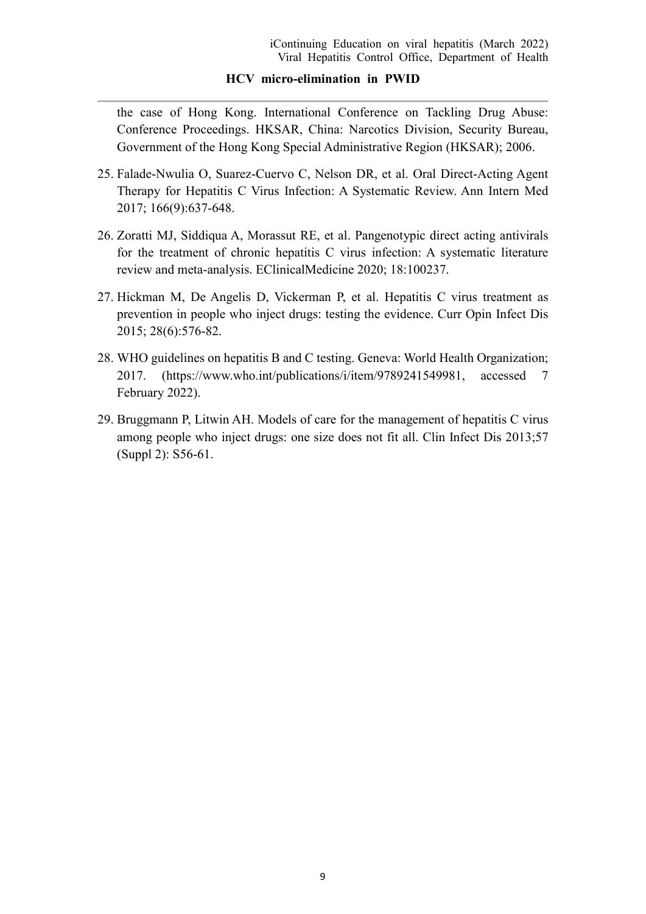the case of Hong Kong. International Conference on Tackling Drug Abuse: Conference Proceedings. HKSAR, China: Narcotics Division, Security Bureau, Government of the Hong Kong Special Administrative Region (HKSAR); 2006.

- 25. Falade-Nwulia O, Suarez-Cuervo C, Nelson DR, et al. Oral Direct-Acting Agent Therapy for Hepatitis C Virus Infection: A Systematic Review. Ann Intern Med 2017; 166(9):637-648.
- 26. Zoratti MJ, Siddiqua A, Morassut RE, et al. Pangenotypic direct acting antivirals for the treatment of chronic hepatitis C virus infection: A systematic literature review and meta-analysis. EClinicalMedicine 2020; 18:100237.
- 27. Hickman M, De Angelis D, Vickerman P, et al. Hepatitis C virus treatment as prevention in people who inject drugs: testing the evidence. Curr Opin Infect Dis 2015; 28(6):576-82.
- 28. WHO guidelines on hepatitis B and C testing. Geneva: World Health Organization; 2017. (https://www.who.int/publications/i/item/9789241549981, accessed 7 February 2022).
- 29. Bruggmann P, Litwin AH. Models of care for the management of hepatitis C virus among people who inject drugs: one size does not fit all. Clin Infect Dis 2013;57 (Suppl 2): S56-61.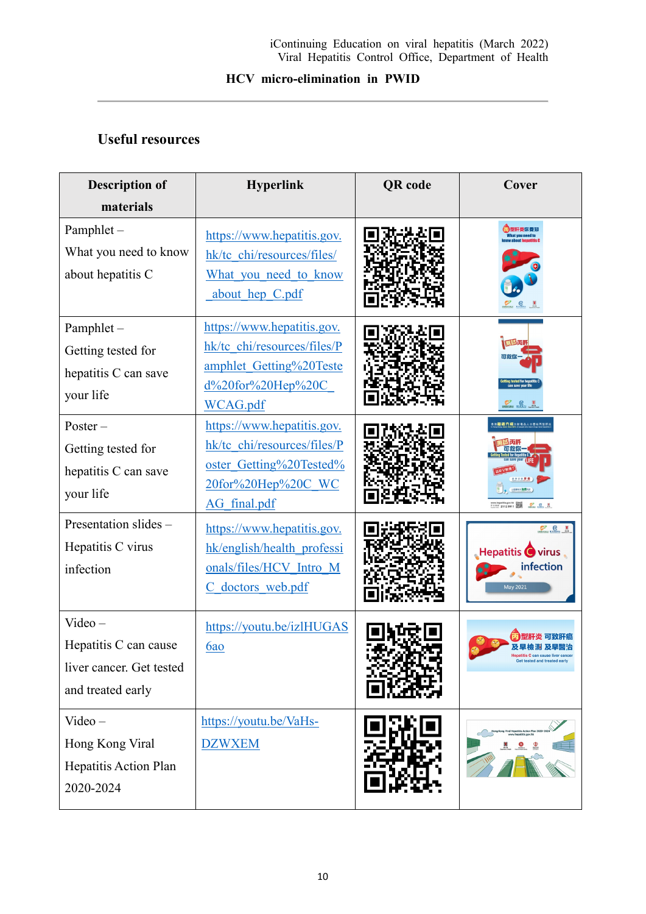# **Useful resources**

| <b>Description of</b>                                                               | <b>Hyperlink</b>                                                                                                                | <b>QR</b> code | Cover                                                      |
|-------------------------------------------------------------------------------------|---------------------------------------------------------------------------------------------------------------------------------|----------------|------------------------------------------------------------|
| materials                                                                           |                                                                                                                                 |                |                                                            |
| Pamphlet-<br>What you need to know<br>about hepatitis C                             | https://www.hepatitis.gov.<br>hk/tc chi/resources/files/<br>What you need to know<br>about hep C.pdf                            |                |                                                            |
| Pamphlet-<br>Getting tested for<br>hepatitis C can save<br>your life                | https://www.hepatitis.gov.<br>hk/tc chi/resources/files/P<br>amphlet Getting%20Teste<br>$d\frac{620}$ for%20Hep%20C<br>WCAG.pdf |                | $C_{\text{max}}$ $C_{\text{max}}$ $M_{\text{max}}$         |
| $Poster -$<br>Getting tested for<br>hepatitis C can save<br>your life               | https://www.hepatitis.gov.<br>hk/tc_chi/resources/files/P<br>oster Getting%20Tested%<br>20for%20Hep%20C WC<br>AG final.pdf      |                | ■過六成注射毒品人士患有丙型肝<br>P.8.8<br>※※ 2112 9911 第3                |
| Presentation slides -<br>Hepatitis C virus<br>infection                             | https://www.hepatitis.gov.<br>hk/english/health professi<br>onals/files/HCV Intro M<br>C doctors web.pdf                        |                | P e t<br><b>Hepatitis Covirus</b><br>infection<br>May 2021 |
| $Video -$<br>Hepatitis C can cause<br>liver cancer. Get tested<br>and treated early | https://youtu.be/izlHUGAS<br>6ao                                                                                                |                |                                                            |
| $Video -$<br>Hong Kong Viral<br>Hepatitis Action Plan<br>2020-2024                  | https://youtu.be/VaHs-<br><b>DZWXEM</b>                                                                                         |                |                                                            |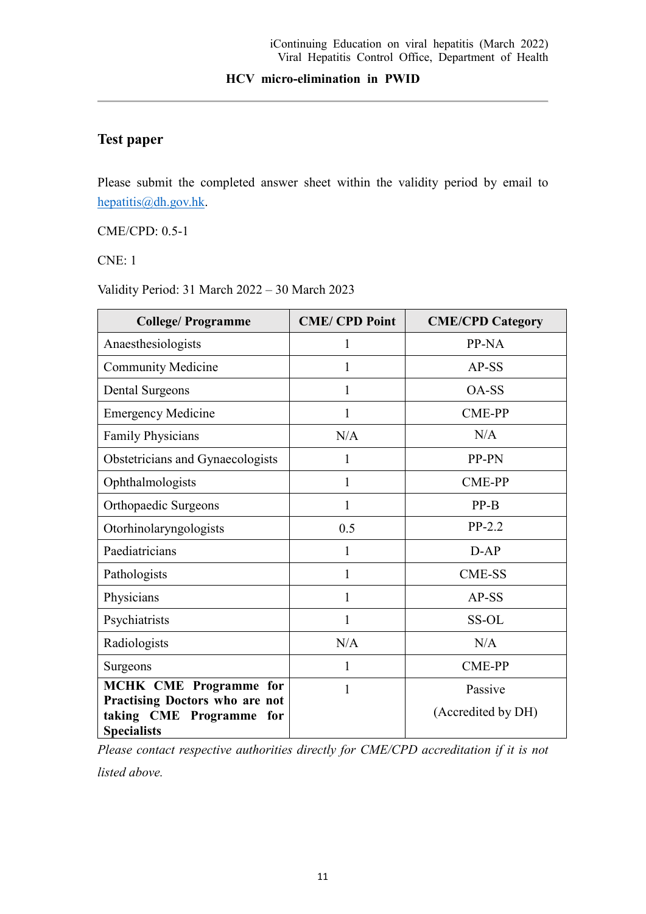# **Test paper**

Please submit the completed answer sheet within the validity period by email to [hepatitis@dh.gov.hk.](mailto:hepatitis@dh.gov.hk)

CME/CPD: 0.5-1

CNE: 1

Validity Period: 31 March 2022 – 30 March 2023

| <b>College/Programme</b>                                                         | <b>CME/CPD Point</b> | <b>CME/CPD Category</b> |
|----------------------------------------------------------------------------------|----------------------|-------------------------|
| Anaesthesiologists                                                               | 1                    | PP-NA                   |
| <b>Community Medicine</b>                                                        | 1                    | $AP-SS$                 |
| <b>Dental Surgeons</b>                                                           | 1                    | OA-SS                   |
| <b>Emergency Medicine</b>                                                        | 1                    | <b>CME-PP</b>           |
| <b>Family Physicians</b>                                                         | N/A                  | N/A                     |
| Obstetricians and Gynaecologists                                                 | 1                    | PP-PN                   |
| Ophthalmologists                                                                 | 1                    | <b>CME-PP</b>           |
| Orthopaedic Surgeons                                                             | 1                    | $PP-B$                  |
| Otorhinolaryngologists                                                           | 0.5                  | $PP-2.2$                |
| Paediatricians                                                                   | $\mathbf{1}$         | $D-AP$                  |
| Pathologists                                                                     | 1                    | <b>CME-SS</b>           |
| Physicians                                                                       | $\mathbf{1}$         | AP-SS                   |
| Psychiatrists                                                                    | 1                    | SS-OL                   |
| Radiologists                                                                     | N/A                  | N/A                     |
| Surgeons                                                                         | 1                    | <b>CME-PP</b>           |
| <b>MCHK CME Programme for</b>                                                    | 1                    | Passive                 |
| Practising Doctors who are not<br>taking CME Programme for<br><b>Specialists</b> |                      | (Accredited by DH)      |

*Please contact respective authorities directly for CME/CPD accreditation if it is not* 

*listed above.*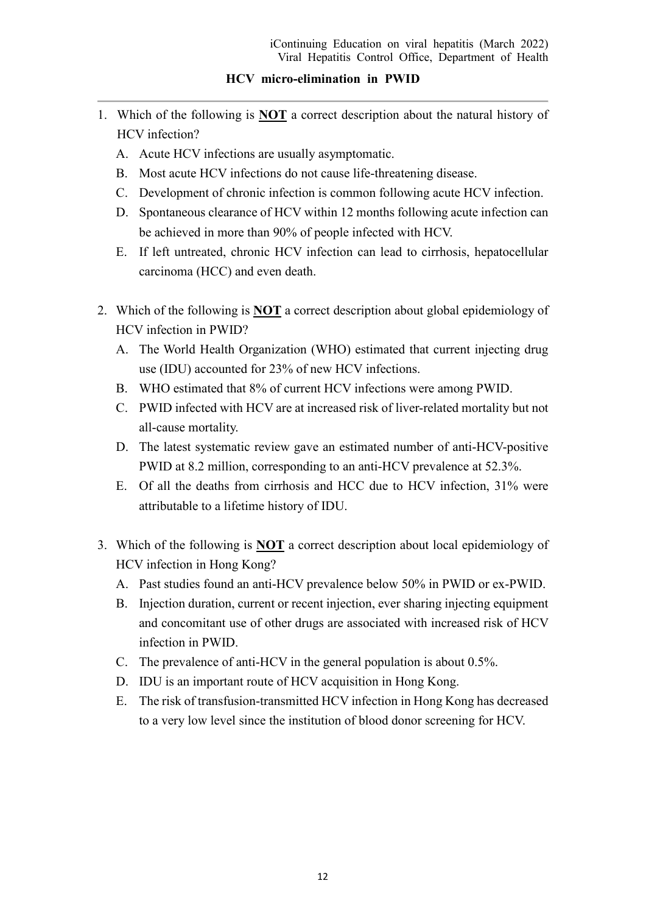- 1. Which of the following is **NOT** a correct description about the natural history of HCV infection?
	- A. Acute HCV infections are usually asymptomatic.
	- B. Most acute HCV infections do not cause life-threatening disease.
	- C. Development of chronic infection is common following acute HCV infection.
	- D. Spontaneous clearance of HCV within 12 months following acute infection can be achieved in more than 90% of people infected with HCV.
	- E. If left untreated, chronic HCV infection can lead to cirrhosis, hepatocellular carcinoma (HCC) and even death.
- 2. Which of the following is **NOT** a correct description about global epidemiology of HCV infection in PWID?
	- A. The World Health Organization (WHO) estimated that current injecting drug use (IDU) accounted for 23% of new HCV infections.
	- B. WHO estimated that 8% of current HCV infections were among PWID.
	- C. PWID infected with HCV are at increased risk of liver-related mortality but not all-cause mortality.
	- D. The latest systematic review gave an estimated number of anti-HCV-positive PWID at 8.2 million, corresponding to an anti-HCV prevalence at 52.3%.
	- E. Of all the deaths from cirrhosis and HCC due to HCV infection, 31% were attributable to a lifetime history of IDU.
- 3. Which of the following is **NOT** a correct description about local epidemiology of HCV infection in Hong Kong?
	- A. Past studies found an anti-HCV prevalence below 50% in PWID or ex-PWID.
	- B. Injection duration, current or recent injection, ever sharing injecting equipment and concomitant use of other drugs are associated with increased risk of HCV infection in PWID.
	- C. The prevalence of anti-HCV in the general population is about 0.5%.
	- D. IDU is an important route of HCV acquisition in Hong Kong.
	- E. The risk of transfusion-transmitted HCV infection in Hong Kong has decreased to a very low level since the institution of blood donor screening for HCV.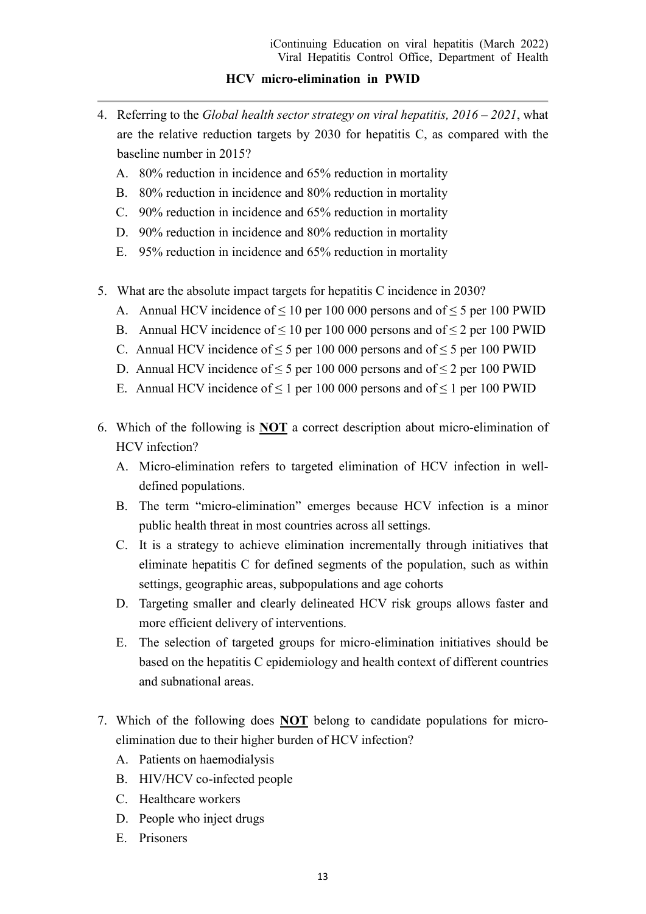- 4. Referring to the *Global health sector strategy on viral hepatitis, 2016 – 2021*, what are the relative reduction targets by 2030 for hepatitis C, as compared with the baseline number in 2015?
	- A. 80% reduction in incidence and 65% reduction in mortality
	- B. 80% reduction in incidence and 80% reduction in mortality
	- C. 90% reduction in incidence and 65% reduction in mortality
	- D. 90% reduction in incidence and 80% reduction in mortality
	- E. 95% reduction in incidence and 65% reduction in mortality
- 5. What are the absolute impact targets for hepatitis C incidence in 2030?
	- A. Annual HCV incidence of  $\leq 10$  per 100 000 persons and of  $\leq 5$  per 100 PWID
	- B. Annual HCV incidence of  $\leq 10$  per 100 000 persons and of  $\leq 2$  per 100 PWID
	- C. Annual HCV incidence of  $\leq$  5 per 100 000 persons and of  $\leq$  5 per 100 PWID
	- D. Annual HCV incidence of  $\leq$  5 per 100 000 persons and of  $\leq$  2 per 100 PWID
	- E. Annual HCV incidence of  $\leq 1$  per 100 000 persons and of  $\leq 1$  per 100 PWID
- 6. Which of the following is **NOT** a correct description about micro-elimination of HCV infection?
	- A. Micro-elimination refers to targeted elimination of HCV infection in welldefined populations.
	- B. The term "micro-elimination" emerges because HCV infection is a minor public health threat in most countries across all settings.
	- C. It is a strategy to achieve elimination incrementally through initiatives that eliminate hepatitis C for defined segments of the population, such as within settings, geographic areas, subpopulations and age cohorts
	- D. Targeting smaller and clearly delineated HCV risk groups allows faster and more efficient delivery of interventions.
	- E. The selection of targeted groups for micro-elimination initiatives should be based on the hepatitis C epidemiology and health context of different countries and subnational areas.
- 7. Which of the following does **NOT** belong to candidate populations for microelimination due to their higher burden of HCV infection?
	- A. Patients on haemodialysis
	- B. HIV/HCV co-infected people
	- C. Healthcare workers
	- D. People who inject drugs
	- E. Prisoners